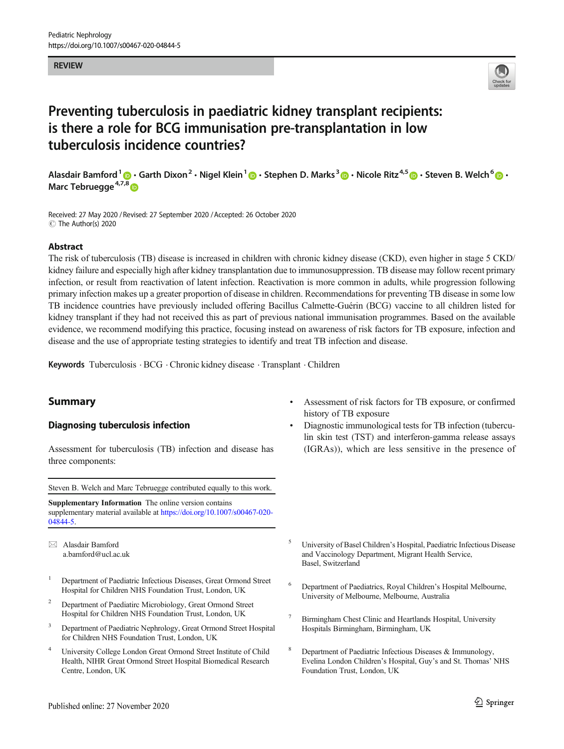#### **REVIEW**



# Preventing tuberculosis in paediatric kidney transplant recipients: is there a role for BCG immunisation pre-transplantation in low tuberculosis incidence countries?

Alasdair Bamford<sup>1</sup>  $\bigcirc$  Garth Dixon<sup>2</sup>  $\cdot$  Nigel Klein<sup>1</sup>  $\bigcirc$   $\cdot$  Stephen D. Marks<sup>3</sup>  $\bigcirc$   $\cdot$  Nicole Ritz<sup>4,5</sup>  $\bigcirc$   $\cdot$  Steven B. Welch<sup>6</sup>  $\bigcirc$   $\cdot$ Marc Tebruegge<sup>4,7,8</sup>

Received: 27 May 2020 / Revised: 27 September 2020 /Accepted: 26 October 2020  $\circledcirc$  The Author(s) 2020

#### Abstract

The risk of tuberculosis (TB) disease is increased in children with chronic kidney disease (CKD), even higher in stage 5 CKD/ kidney failure and especially high after kidney transplantation due to immunosuppression. TB disease may follow recent primary infection, or result from reactivation of latent infection. Reactivation is more common in adults, while progression following primary infection makes up a greater proportion of disease in children. Recommendations for preventing TB disease in some low TB incidence countries have previously included offering Bacillus Calmette-Guérin (BCG) vaccine to all children listed for kidney transplant if they had not received this as part of previous national immunisation programmes. Based on the available evidence, we recommend modifying this practice, focusing instead on awareness of risk factors for TB exposure, infection and disease and the use of appropriate testing strategies to identify and treat TB infection and disease.

Keywords Tuberculosis . BCG . Chronic kidney disease . Transplant . Children

## Summary

## Diagnosing tuberculosis infection

Assessment for tuberculosis (TB) infection and disease has three components:

Steven B. Welch and Marc Tebruegge contributed equally to this work.

Supplementary Information The online version contains supplementary material available at [https://doi.org/10.1007/s00467-020-](https://doi.org/10.1007/s00467-020-04844-5) [04844-5](https://doi.org/10.1007/s00467-020-04844-5).

 $\boxtimes$  Alasdair Bamford [a.bamford@ucl.ac.uk](mailto:a.bamford@ucl.ac.uk)

- <sup>1</sup> Department of Paediatric Infectious Diseases, Great Ormond Street Hospital for Children NHS Foundation Trust, London, UK
- <sup>2</sup> Department of Paediatirc Microbiology, Great Ormond Street Hospital for Children NHS Foundation Trust, London, UK
- <sup>3</sup> Department of Paediatric Nephrology, Great Ormond Street Hospital for Children NHS Foundation Trust, London, UK
- <sup>4</sup> University College London Great Ormond Street Institute of Child Health, NIHR Great Ormond Street Hospital Biomedical Research Centre, London, UK
- & Assessment of risk factors for TB exposure, or confirmed history of TB exposure
- Diagnostic immunological tests for TB infection (tuberculin skin test (TST) and interferon-gamma release assays (IGRAs)), which are less sensitive in the presence of

- <sup>5</sup> University of Basel Children's Hospital, Paediatric Infectious Disease and Vaccinology Department, Migrant Health Service, Basel, Switzerland
- <sup>6</sup> Department of Paediatrics, Royal Children's Hospital Melbourne, University of Melbourne, Melbourne, Australia
- <sup>7</sup> Birmingham Chest Clinic and Heartlands Hospital, University Hospitals Birmingham, Birmingham, UK
- <sup>8</sup> Department of Paediatric Infectious Diseases & Immunology, Evelina London Children's Hospital, Guy's and St. Thomas' NHS Foundation Trust, London, UK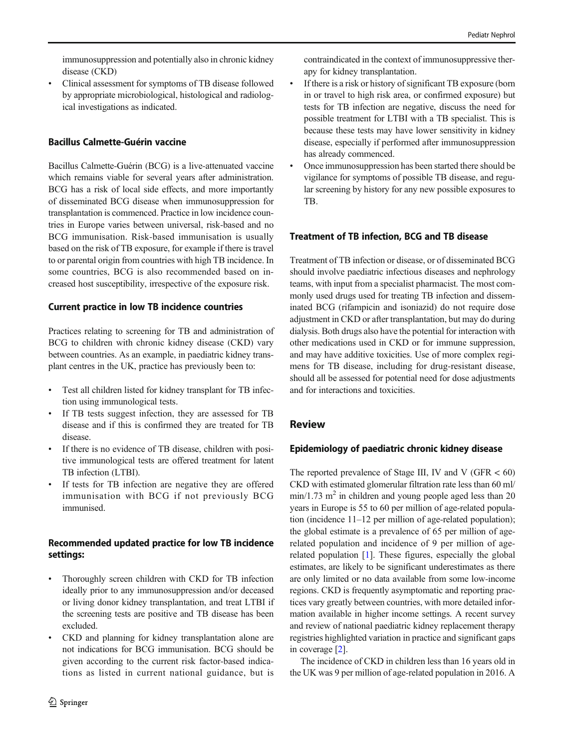immunosuppression and potentially also in chronic kidney disease (CKD)

Clinical assessment for symptoms of TB disease followed by appropriate microbiological, histological and radiological investigations as indicated.

## Bacillus Calmette-Guérin vaccine

Bacillus Calmette-Guérin (BCG) is a live-attenuated vaccine which remains viable for several years after administration. BCG has a risk of local side effects, and more importantly of disseminated BCG disease when immunosuppression for transplantation is commenced. Practice in low incidence countries in Europe varies between universal, risk-based and no BCG immunisation. Risk-based immunisation is usually based on the risk of TB exposure, for example if there is travel to or parental origin from countries with high TB incidence. In some countries, BCG is also recommended based on increased host susceptibility, irrespective of the exposure risk.

## Current practice in low TB incidence countries

Practices relating to screening for TB and administration of BCG to children with chronic kidney disease (CKD) vary between countries. As an example, in paediatric kidney transplant centres in the UK, practice has previously been to:

- Test all children listed for kidney transplant for TB infection using immunological tests.
- If TB tests suggest infection, they are assessed for TB disease and if this is confirmed they are treated for TB disease.
- If there is no evidence of TB disease, children with positive immunological tests are offered treatment for latent TB infection (LTBI).
- If tests for TB infection are negative they are offered immunisation with BCG if not previously BCG immunised.

## Recommended updated practice for low TB incidence settings:

- & Thoroughly screen children with CKD for TB infection ideally prior to any immunosuppression and/or deceased or living donor kidney transplantation, and treat LTBI if the screening tests are positive and TB disease has been excluded.
- CKD and planning for kidney transplantation alone are not indications for BCG immunisation. BCG should be given according to the current risk factor-based indications as listed in current national guidance, but is

contraindicated in the context of immunosuppressive therapy for kidney transplantation.

- If there is a risk or history of significant TB exposure (born in or travel to high risk area, or confirmed exposure) but tests for TB infection are negative, discuss the need for possible treatment for LTBI with a TB specialist. This is because these tests may have lower sensitivity in kidney disease, especially if performed after immunosuppression has already commenced.
- & Once immunosuppression has been started there should be vigilance for symptoms of possible TB disease, and regular screening by history for any new possible exposures to TB.

## Treatment of TB infection, BCG and TB disease

Treatment of TB infection or disease, or of disseminated BCG should involve paediatric infectious diseases and nephrology teams, with input from a specialist pharmacist. The most commonly used drugs used for treating TB infection and disseminated BCG (rifampicin and isoniazid) do not require dose adjustment in CKD or after transplantation, but may do during dialysis. Both drugs also have the potential for interaction with other medications used in CKD or for immune suppression, and may have additive toxicities. Use of more complex regimens for TB disease, including for drug-resistant disease, should all be assessed for potential need for dose adjustments and for interactions and toxicities.

## Review

## Epidemiology of paediatric chronic kidney disease

The reported prevalence of Stage III, IV and V (GFR  $< 60$ ) CKD with estimated glomerular filtration rate less than 60 ml/  $min/1.73$  m<sup>2</sup> in children and young people aged less than 20 years in Europe is 55 to 60 per million of age-related population (incidence 11–12 per million of age-related population); the global estimate is a prevalence of 65 per million of agerelated population and incidence of 9 per million of agerelated population [[1\]](#page-6-0). These figures, especially the global estimates, are likely to be significant underestimates as there are only limited or no data available from some low-income regions. CKD is frequently asymptomatic and reporting practices vary greatly between countries, with more detailed information available in higher income settings. A recent survey and review of national paediatric kidney replacement therapy registries highlighted variation in practice and significant gaps in coverage [\[2\]](#page-6-0).

The incidence of CKD in children less than 16 years old in the UK was 9 per million of age-related population in 2016. A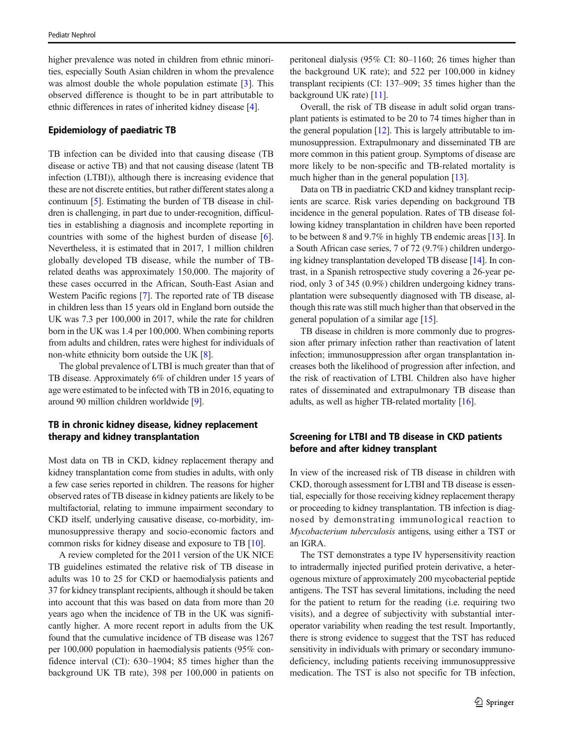higher prevalence was noted in children from ethnic minorities, especially South Asian children in whom the prevalence was almost double the whole population estimate [[3](#page-6-0)]. This observed difference is thought to be in part attributable to ethnic differences in rates of inherited kidney disease [[4\]](#page-6-0).

### Epidemiology of paediatric TB

TB infection can be divided into that causing disease (TB disease or active TB) and that not causing disease (latent TB infection (LTBI)), although there is increasing evidence that these are not discrete entities, but rather different states along a continuum [\[5\]](#page-6-0). Estimating the burden of TB disease in children is challenging, in part due to under-recognition, difficulties in establishing a diagnosis and incomplete reporting in countries with some of the highest burden of disease [\[6](#page-6-0)]. Nevertheless, it is estimated that in 2017, 1 million children globally developed TB disease, while the number of TBrelated deaths was approximately 150,000. The majority of these cases occurred in the African, South-East Asian and Western Pacific regions [\[7](#page-6-0)]. The reported rate of TB disease in children less than 15 years old in England born outside the UK was 7.3 per 100,000 in 2017, while the rate for children born in the UK was 1.4 per 100,000. When combining reports from adults and children, rates were highest for individuals of non-white ethnicity born outside the UK [[8\]](#page-6-0).

The global prevalence of LTBI is much greater than that of TB disease. Approximately 6% of children under 15 years of age were estimated to be infected with TB in 2016, equating to around 90 million children worldwide [\[9\]](#page-6-0).

## TB in chronic kidney disease, kidney replacement therapy and kidney transplantation

Most data on TB in CKD, kidney replacement therapy and kidney transplantation come from studies in adults, with only a few case series reported in children. The reasons for higher observed rates of TB disease in kidney patients are likely to be multifactorial, relating to immune impairment secondary to CKD itself, underlying causative disease, co-morbidity, immunosuppressive therapy and socio-economic factors and common risks for kidney disease and exposure to TB [\[10\]](#page-6-0).

A review completed for the 2011 version of the UK NICE TB guidelines estimated the relative risk of TB disease in adults was 10 to 25 for CKD or haemodialysis patients and 37 for kidney transplant recipients, although it should be taken into account that this was based on data from more than 20 years ago when the incidence of TB in the UK was significantly higher. A more recent report in adults from the UK found that the cumulative incidence of TB disease was 1267 per 100,000 population in haemodialysis patients (95% confidence interval (CI): 630–1904; 85 times higher than the background UK TB rate), 398 per 100,000 in patients on peritoneal dialysis (95% CI: 80–1160; 26 times higher than the background UK rate); and 522 per 100,000 in kidney transplant recipients (CI: 137–909; 35 times higher than the background UK rate) [[11\]](#page-6-0).

Overall, the risk of TB disease in adult solid organ transplant patients is estimated to be 20 to 74 times higher than in the general population  $[12]$  $[12]$  $[12]$ . This is largely attributable to immunosuppression. Extrapulmonary and disseminated TB are more common in this patient group. Symptoms of disease are more likely to be non-specific and TB-related mortality is much higher than in the general population [\[13\]](#page-6-0).

Data on TB in paediatric CKD and kidney transplant recipients are scarce. Risk varies depending on background TB incidence in the general population. Rates of TB disease following kidney transplantation in children have been reported to be between 8 and 9.7% in highly TB endemic areas [[13](#page-6-0)]. In a South African case series, 7 of 72 (9.7%) children undergoing kidney transplantation developed TB disease [\[14\]](#page-6-0). In contrast, in a Spanish retrospective study covering a 26-year period, only 3 of 345 (0.9%) children undergoing kidney transplantation were subsequently diagnosed with TB disease, although this rate was still much higher than that observed in the general population of a similar age [\[15](#page-6-0)].

TB disease in children is more commonly due to progression after primary infection rather than reactivation of latent infection; immunosuppression after organ transplantation increases both the likelihood of progression after infection, and the risk of reactivation of LTBI. Children also have higher rates of disseminated and extrapulmonary TB disease than adults, as well as higher TB-related mortality [[16](#page-6-0)].

## Screening for LTBI and TB disease in CKD patients before and after kidney transplant

In view of the increased risk of TB disease in children with CKD, thorough assessment for LTBI and TB disease is essential, especially for those receiving kidney replacement therapy or proceeding to kidney transplantation. TB infection is diagnosed by demonstrating immunological reaction to Mycobacterium tuberculosis antigens, using either a TST or an IGRA.

The TST demonstrates a type IV hypersensitivity reaction to intradermally injected purified protein derivative, a heterogenous mixture of approximately 200 mycobacterial peptide antigens. The TST has several limitations, including the need for the patient to return for the reading (i.e. requiring two visits), and a degree of subjectivity with substantial interoperator variability when reading the test result. Importantly, there is strong evidence to suggest that the TST has reduced sensitivity in individuals with primary or secondary immunodeficiency, including patients receiving immunosuppressive medication. The TST is also not specific for TB infection,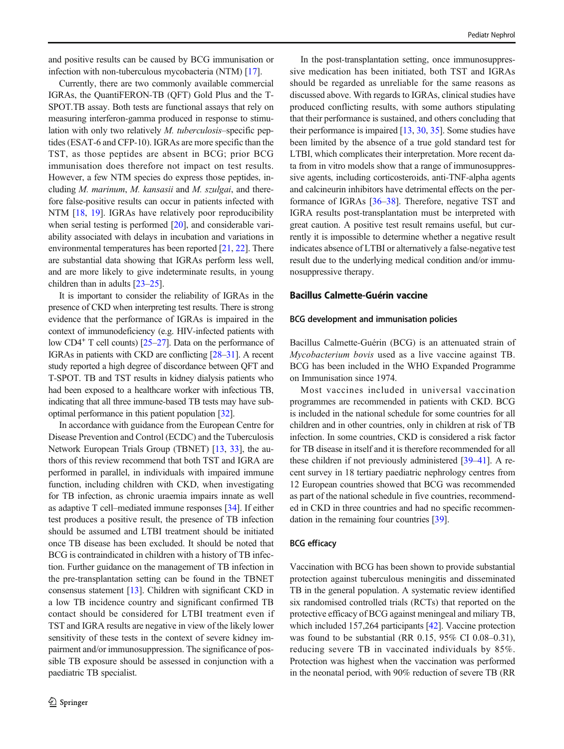and positive results can be caused by BCG immunisation or infection with non-tuberculous mycobacteria (NTM) [[17\]](#page-6-0).

Currently, there are two commonly available commercial IGRAs, the QuantiFERON-TB (QFT) Gold Plus and the T-SPOT.TB assay. Both tests are functional assays that rely on measuring interferon-gamma produced in response to stimulation with only two relatively M. tuberculosis–specific peptides (ESAT-6 and CFP-10). IGRAs are more specific than the TST, as those peptides are absent in BCG; prior BCG immunisation does therefore not impact on test results. However, a few NTM species do express those peptides, including M. marinum, M. kansasii and M. szulgai, and therefore false-positive results can occur in patients infected with NTM [[18,](#page-6-0) [19\]](#page-6-0). IGRAs have relatively poor reproducibility when serial testing is performed [[20](#page-6-0)], and considerable variability associated with delays in incubation and variations in environmental temperatures has been reported [\[21](#page-6-0), [22\]](#page-6-0). There are substantial data showing that IGRAs perform less well, and are more likely to give indeterminate results, in young children than in adults [[23](#page-7-0)–[25](#page-7-0)].

It is important to consider the reliability of IGRAs in the presence of CKD when interpreting test results. There is strong evidence that the performance of IGRAs is impaired in the context of immunodeficiency (e.g. HIV-infected patients with low  $CD4^+$  T cell counts) [\[25](#page-7-0)–[27](#page-7-0)]. Data on the performance of IGRAs in patients with CKD are conflicting [[28](#page-7-0)–[31\]](#page-7-0). A recent study reported a high degree of discordance between QFT and T-SPOT. TB and TST results in kidney dialysis patients who had been exposed to a healthcare worker with infectious TB, indicating that all three immune-based TB tests may have suboptimal performance in this patient population [\[32\]](#page-7-0).

In accordance with guidance from the European Centre for Disease Prevention and Control (ECDC) and the Tuberculosis Network European Trials Group (TBNET) [\[13,](#page-6-0) [33\]](#page-7-0), the authors of this review recommend that both TST and IGRA are performed in parallel, in individuals with impaired immune function, including children with CKD, when investigating for TB infection, as chronic uraemia impairs innate as well as adaptive T cell–mediated immune responses [\[34](#page-7-0)]. If either test produces a positive result, the presence of TB infection should be assumed and LTBI treatment should be initiated once TB disease has been excluded. It should be noted that BCG is contraindicated in children with a history of TB infection. Further guidance on the management of TB infection in the pre-transplantation setting can be found in the TBNET consensus statement [\[13\]](#page-6-0). Children with significant CKD in a low TB incidence country and significant confirmed TB contact should be considered for LTBI treatment even if TST and IGRA results are negative in view of the likely lower sensitivity of these tests in the context of severe kidney impairment and/or immunosuppression. The significance of possible TB exposure should be assessed in conjunction with a paediatric TB specialist.

In the post-transplantation setting, once immunosuppressive medication has been initiated, both TST and IGRAs should be regarded as unreliable for the same reasons as discussed above. With regards to IGRAs, clinical studies have produced conflicting results, with some authors stipulating that their performance is sustained, and others concluding that their performance is impaired [\[13](#page-6-0), [30,](#page-7-0) [35](#page-7-0)]. Some studies have been limited by the absence of a true gold standard test for LTBI, which complicates their interpretation. More recent data from in vitro models show that a range of immunosuppressive agents, including corticosteroids, anti-TNF-alpha agents and calcineurin inhibitors have detrimental effects on the performance of IGRAs [\[36](#page-7-0)–[38](#page-7-0)]. Therefore, negative TST and IGRA results post-transplantation must be interpreted with great caution. A positive test result remains useful, but currently it is impossible to determine whether a negative result indicates absence of LTBI or alternatively a false-negative test result due to the underlying medical condition and/or immunosuppressive therapy.

#### Bacillus Calmette-Guérin vaccine

#### BCG development and immunisation policies

Bacillus Calmette-Guérin (BCG) is an attenuated strain of Mycobacterium bovis used as a live vaccine against TB. BCG has been included in the WHO Expanded Programme on Immunisation since 1974.

Most vaccines included in universal vaccination programmes are recommended in patients with CKD. BCG is included in the national schedule for some countries for all children and in other countries, only in children at risk of TB infection. In some countries, CKD is considered a risk factor for TB disease in itself and it is therefore recommended for all these children if not previously administered [[39](#page-7-0)–[41](#page-7-0)]. A recent survey in 18 tertiary paediatric nephrology centres from 12 European countries showed that BCG was recommended as part of the national schedule in five countries, recommended in CKD in three countries and had no specific recommendation in the remaining four countries [\[39](#page-7-0)].

#### BCG efficacy

Vaccination with BCG has been shown to provide substantial protection against tuberculous meningitis and disseminated TB in the general population. A systematic review identified six randomised controlled trials (RCTs) that reported on the protective efficacy of BCG against meningeal and miliary TB, which included 157,264 participants [\[42\]](#page-7-0). Vaccine protection was found to be substantial (RR 0.15, 95% CI 0.08–0.31), reducing severe TB in vaccinated individuals by 85%. Protection was highest when the vaccination was performed in the neonatal period, with 90% reduction of severe TB (RR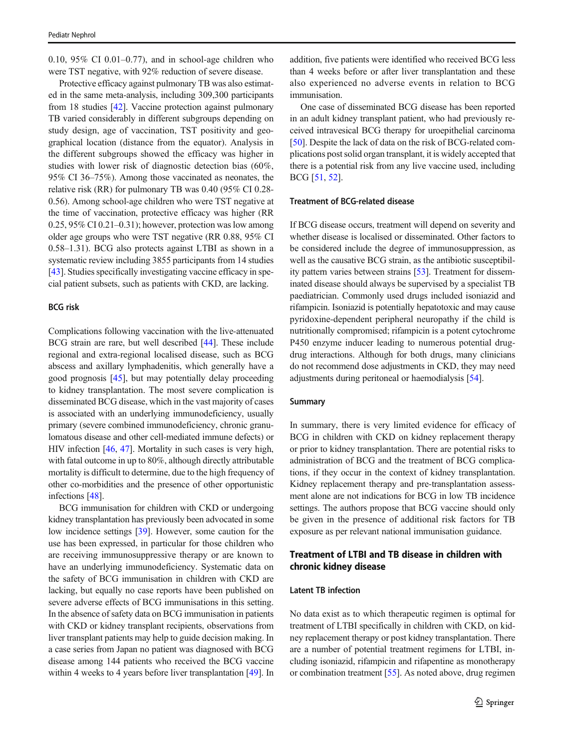0.10, 95% CI 0.01–0.77), and in school-age children who were TST negative, with 92% reduction of severe disease.

Protective efficacy against pulmonary TB was also estimated in the same meta-analysis, including 309,300 participants from 18 studies [[42\]](#page-7-0). Vaccine protection against pulmonary TB varied considerably in different subgroups depending on study design, age of vaccination, TST positivity and geographical location (distance from the equator). Analysis in the different subgroups showed the efficacy was higher in studies with lower risk of diagnostic detection bias (60%, 95% CI 36–75%). Among those vaccinated as neonates, the relative risk (RR) for pulmonary TB was 0.40 (95% CI 0.28- 0.56). Among school-age children who were TST negative at the time of vaccination, protective efficacy was higher (RR 0.25, 95% CI 0.21–0.31); however, protection was low among older age groups who were TST negative (RR 0.88, 95% CI 0.58–1.31). BCG also protects against LTBI as shown in a systematic review including 3855 participants from 14 studies [\[43\]](#page-7-0). Studies specifically investigating vaccine efficacy in special patient subsets, such as patients with CKD, are lacking.

#### BCG risk

Complications following vaccination with the live-attenuated BCG strain are rare, but well described [\[44\]](#page-7-0). These include regional and extra-regional localised disease, such as BCG abscess and axillary lymphadenitis, which generally have a good prognosis [\[45](#page-7-0)], but may potentially delay proceeding to kidney transplantation. The most severe complication is disseminated BCG disease, which in the vast majority of cases is associated with an underlying immunodeficiency, usually primary (severe combined immunodeficiency, chronic granulomatous disease and other cell-mediated immune defects) or HIV infection [[46,](#page-7-0) [47\]](#page-7-0). Mortality in such cases is very high, with fatal outcome in up to 80%, although directly attributable mortality is difficult to determine, due to the high frequency of other co-morbidities and the presence of other opportunistic infections [[48](#page-7-0)].

BCG immunisation for children with CKD or undergoing kidney transplantation has previously been advocated in some low incidence settings [[39\]](#page-7-0). However, some caution for the use has been expressed, in particular for those children who are receiving immunosuppressive therapy or are known to have an underlying immunodeficiency. Systematic data on the safety of BCG immunisation in children with CKD are lacking, but equally no case reports have been published on severe adverse effects of BCG immunisations in this setting. In the absence of safety data on BCG immunisation in patients with CKD or kidney transplant recipients, observations from liver transplant patients may help to guide decision making. In a case series from Japan no patient was diagnosed with BCG disease among 144 patients who received the BCG vaccine within 4 weeks to 4 years before liver transplantation [\[49\]](#page-8-0). In

addition, five patients were identified who received BCG less than 4 weeks before or after liver transplantation and these also experienced no adverse events in relation to BCG immunisation.

One case of disseminated BCG disease has been reported in an adult kidney transplant patient, who had previously received intravesical BCG therapy for uroepithelial carcinoma [\[50](#page-8-0)]. Despite the lack of data on the risk of BCG-related complications post solid organ transplant, it is widely accepted that there is a potential risk from any live vaccine used, including BCG [\[51,](#page-8-0) [52\]](#page-8-0).

#### Treatment of BCG-related disease

If BCG disease occurs, treatment will depend on severity and whether disease is localised or disseminated. Other factors to be considered include the degree of immunosuppression, as well as the causative BCG strain, as the antibiotic susceptibility pattern varies between strains [\[53\]](#page-8-0). Treatment for disseminated disease should always be supervised by a specialist TB paediatrician. Commonly used drugs included isoniazid and rifampicin. Isoniazid is potentially hepatotoxic and may cause pyridoxine-dependent peripheral neuropathy if the child is nutritionally compromised; rifampicin is a potent cytochrome P450 enzyme inducer leading to numerous potential drugdrug interactions. Although for both drugs, many clinicians do not recommend dose adjustments in CKD, they may need adjustments during peritoneal or haemodialysis [[54\]](#page-8-0).

#### **Summary**

In summary, there is very limited evidence for efficacy of BCG in children with CKD on kidney replacement therapy or prior to kidney transplantation. There are potential risks to administration of BCG and the treatment of BCG complications, if they occur in the context of kidney transplantation. Kidney replacement therapy and pre-transplantation assessment alone are not indications for BCG in low TB incidence settings. The authors propose that BCG vaccine should only be given in the presence of additional risk factors for TB exposure as per relevant national immunisation guidance.

## Treatment of LTBI and TB disease in children with chronic kidney disease

#### Latent TB infection

No data exist as to which therapeutic regimen is optimal for treatment of LTBI specifically in children with CKD, on kidney replacement therapy or post kidney transplantation. There are a number of potential treatment regimens for LTBI, including isoniazid, rifampicin and rifapentine as monotherapy or combination treatment [\[55](#page-8-0)]. As noted above, drug regimen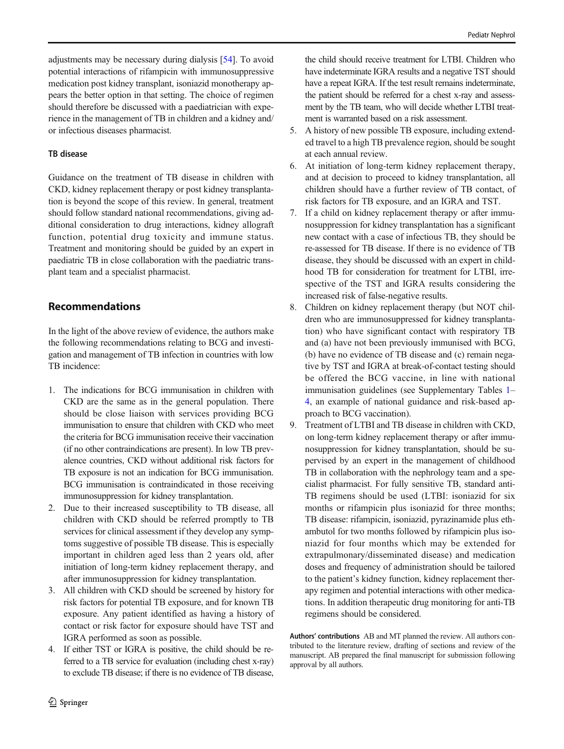adjustments may be necessary during dialysis [[54](#page-8-0)]. To avoid potential interactions of rifampicin with immunosuppressive medication post kidney transplant, isoniazid monotherapy appears the better option in that setting. The choice of regimen should therefore be discussed with a paediatrician with experience in the management of TB in children and a kidney and/ or infectious diseases pharmacist.

## TB disease

Guidance on the treatment of TB disease in children with CKD, kidney replacement therapy or post kidney transplantation is beyond the scope of this review. In general, treatment should follow standard national recommendations, giving additional consideration to drug interactions, kidney allograft function, potential drug toxicity and immune status. Treatment and monitoring should be guided by an expert in paediatric TB in close collaboration with the paediatric transplant team and a specialist pharmacist.

## Recommendations

In the light of the above review of evidence, the authors make the following recommendations relating to BCG and investigation and management of TB infection in countries with low TB incidence:

- 1. The indications for BCG immunisation in children with CKD are the same as in the general population. There should be close liaison with services providing BCG immunisation to ensure that children with CKD who meet the criteria for BCG immunisation receive their vaccination (if no other contraindications are present). In low TB prevalence countries, CKD without additional risk factors for TB exposure is not an indication for BCG immunisation. BCG immunisation is contraindicated in those receiving immunosuppression for kidney transplantation.
- 2. Due to their increased susceptibility to TB disease, all children with CKD should be referred promptly to TB services for clinical assessment if they develop any symptoms suggestive of possible TB disease. This is especially important in children aged less than 2 years old, after initiation of long-term kidney replacement therapy, and after immunosuppression for kidney transplantation.
- 3. All children with CKD should be screened by history for risk factors for potential TB exposure, and for known TB exposure. Any patient identified as having a history of contact or risk factor for exposure should have TST and IGRA performed as soon as possible.
- 4. If either TST or IGRA is positive, the child should be referred to a TB service for evaluation (including chest x-ray) to exclude TB disease; if there is no evidence of TB disease,

the child should receive treatment for LTBI. Children who have indeterminate IGRA results and a negative TST should have a repeat IGRA. If the test result remains indeterminate, the patient should be referred for a chest x-ray and assessment by the TB team, who will decide whether LTBI treatment is warranted based on a risk assessment.

- 5. A history of new possible TB exposure, including extended travel to a high TB prevalence region, should be sought at each annual review.
- 6. At initiation of long-term kidney replacement therapy, and at decision to proceed to kidney transplantation, all children should have a further review of TB contact, of risk factors for TB exposure, and an IGRA and TST.
- 7. If a child on kidney replacement therapy or after immunosuppression for kidney transplantation has a significant new contact with a case of infectious TB, they should be re-assessed for TB disease. If there is no evidence of TB disease, they should be discussed with an expert in childhood TB for consideration for treatment for LTBI, irrespective of the TST and IGRA results considering the increased risk of false-negative results.
- 8. Children on kidney replacement therapy (but NOT children who are immunosuppressed for kidney transplantation) who have significant contact with respiratory TB and (a) have not been previously immunised with BCG, (b) have no evidence of TB disease and (c) remain negative by TST and IGRA at break-of-contact testing should be offered the BCG vaccine, in line with national immunisation guidelines (see Supplementary Tables 1– 4, an example of national guidance and risk-based approach to BCG vaccination).
- 9. Treatment of LTBI and TB disease in children with CKD, on long-term kidney replacement therapy or after immunosuppression for kidney transplantation, should be supervised by an expert in the management of childhood TB in collaboration with the nephrology team and a specialist pharmacist. For fully sensitive TB, standard anti-TB regimens should be used (LTBI: isoniazid for six months or rifampicin plus isoniazid for three months; TB disease: rifampicin, isoniazid, pyrazinamide plus ethambutol for two months followed by rifampicin plus isoniazid for four months which may be extended for extrapulmonary/disseminated disease) and medication doses and frequency of administration should be tailored to the patient's kidney function, kidney replacement therapy regimen and potential interactions with other medications. In addition therapeutic drug monitoring for anti-TB regimens should be considered.

Authors' contributions AB and MT planned the review. All authors contributed to the literature review, drafting of sections and review of the manuscript. AB prepared the final manuscript for submission following approval by all authors.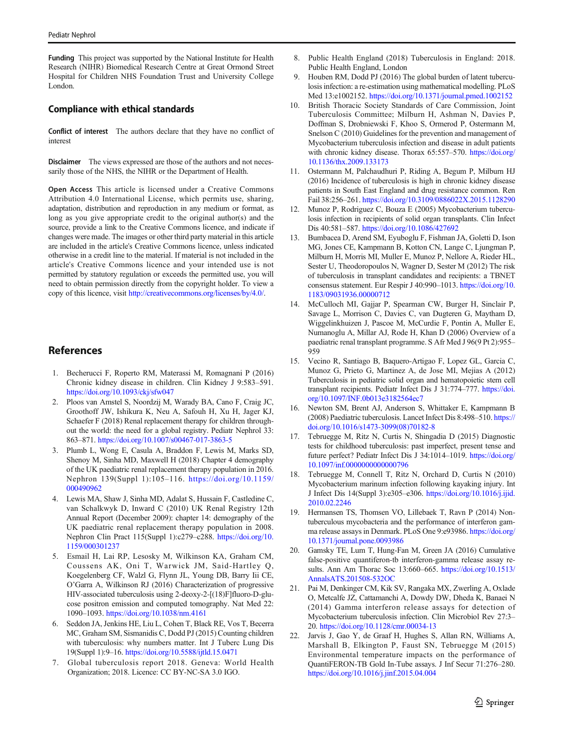<span id="page-6-0"></span>Funding This project was supported by the National Institute for Health Research (NIHR) Biomedical Research Centre at Great Ormond Street Hospital for Children NHS Foundation Trust and University College London.

#### Compliance with ethical standards

Conflict of interest The authors declare that they have no conflict of interest

**Disclaimer** The views expressed are those of the authors and not necessarily those of the NHS, the NIHR or the Department of Health.

Open Access This article is licensed under a Creative Commons Attribution 4.0 International License, which permits use, sharing, adaptation, distribution and reproduction in any medium or format, as long as you give appropriate credit to the original author(s) and the source, provide a link to the Creative Commons licence, and indicate if changes were made. The images or other third party material in this article are included in the article's Creative Commons licence, unless indicated otherwise in a credit line to the material. If material is not included in the article's Creative Commons licence and your intended use is not permitted by statutory regulation or exceeds the permitted use, you will need to obtain permission directly from the copyright holder. To view a copy of this licence, visit [http://creativecommons.org/licenses/by/4.0/.](https://doi.org/)

## **References**

- 1. Becherucci F, Roperto RM, Materassi M, Romagnani P (2016) Chronic kidney disease in children. Clin Kidney J 9:583–591. <https://doi.org/10.1093/ckj/sfw047>
- 2. Ploos van Amstel S, Noordzij M, Warady BA, Cano F, Craig JC, Groothoff JW, Ishikura K, Neu A, Safouh H, Xu H, Jager KJ, Schaefer F (2018) Renal replacement therapy for children throughout the world: the need for a global registry. Pediatr Nephrol 33: 863–871. <https://doi.org/10.1007/s00467-017-3863-5>
- 3. Plumb L, Wong E, Casula A, Braddon F, Lewis M, Marks SD, Shenoy M, Sinha MD, Maxwell H (2018) Chapter 4 demography of the UK paediatric renal replacement therapy population in 2016. Nephron 139(Suppl 1):105–116. [https://doi.org/10.1159/](https://doi.org/10.1159/000490962) [000490962](https://doi.org/10.1159/000490962)
- 4. Lewis MA, Shaw J, Sinha MD, Adalat S, Hussain F, Castledine C, van Schalkwyk D, Inward C (2010) UK Renal Registry 12th Annual Report (December 2009): chapter 14: demography of the UK paediatric renal replacement therapy population in 2008. Nephron Clin Pract 115(Suppl 1):c279–c288. [https://doi.org/10.](https://doi.org/10.1159/000301237) [1159/000301237](https://doi.org/10.1159/000301237)
- 5. Esmail H, Lai RP, Lesosky M, Wilkinson KA, Graham CM, Coussens AK, Oni T, Warwick JM, Said-Hartley Q, Koegelenberg CF, Walzl G, Flynn JL, Young DB, Barry Iii CE, O'Garra A, Wilkinson RJ (2016) Characterization of progressive HIV-associated tuberculosis using 2-deoxy-2-[(18)F]fluoro-D-glucose positron emission and computed tomography. Nat Med 22: 1090–1093. <https://doi.org/10.1038/nm.4161>
- 6. Seddon JA, Jenkins HE, Liu L, Cohen T, Black RE, Vos T, Becerra MC, Graham SM, Sismanidis C, Dodd PJ (2015) Counting children with tuberculosis: why numbers matter. Int J Tuberc Lung Dis 19(Suppl 1):9–16. <https://doi.org/10.5588/ijtld.15.0471>
- 7. Global tuberculosis report 2018. Geneva: World Health Organization; 2018. Licence: CC BY-NC-SA 3.0 IGO.
- 8. Public Health England (2018) Tuberculosis in England: 2018. Public Health England, London
- 9. Houben RM, Dodd PJ (2016) The global burden of latent tuberculosis infection: a re-estimation using mathematical modelling. PLoS Med 13:e1002152. <https://doi.org/10.1371/journal.pmed.1002152>
- 10. British Thoracic Society Standards of Care Commission, Joint Tuberculosis Committee; Milburn H, Ashman N, Davies P, Doffman S, Drobniewski F, Khoo S, Ormerod P, Ostermann M, Snelson C (2010) Guidelines for the prevention and management of Mycobacterium tuberculosis infection and disease in adult patients with chronic kidney disease. Thorax 65:557-570. [https://doi.org/](https://doi.org/10.1136/thx.2009.133173) [10.1136/thx.2009.133173](https://doi.org/10.1136/thx.2009.133173)
- 11. Ostermann M, Palchaudhuri P, Riding A, Begum P, Milburn HJ (2016) Incidence of tuberculosis is high in chronic kidney disease patients in South East England and drug resistance common. Ren Fail 38:256–261. <https://doi.org/10.3109/0886022X.2015.1128290>
- 12. Munoz P, Rodriguez C, Bouza E (2005) Mycobacterium tuberculosis infection in recipients of solid organ transplants. Clin Infect Dis 40:581–587. <https://doi.org/10.1086/427692>
- 13. Bumbacea D, Arend SM, Eyuboglu F, Fishman JA, Goletti D, Ison MG, Jones CE, Kampmann B, Kotton CN, Lange C, Ljungman P, Milburn H, Morris MI, Muller E, Munoz P, Nellore A, Rieder HL, Sester U, Theodoropoulos N, Wagner D, Sester M (2012) The risk of tuberculosis in transplant candidates and recipients: a TBNET consensus statement. Eur Respir J 40:990–1013. [https://doi.org/10.](https://doi.org/10.1183/09031936.00000712) [1183/09031936.00000712](https://doi.org/10.1183/09031936.00000712)
- 14. McCulloch MI, Gajjar P, Spearman CW, Burger H, Sinclair P, Savage L, Morrison C, Davies C, van Dugteren G, Maytham D, Wiggelinkhuizen J, Pascoe M, McCurdie F, Pontin A, Muller E, Numanoglu A, Millar AJ, Rode H, Khan D (2006) Overview of a paediatric renal transplant programme. S Afr Med J 96(9 Pt 2):955– 959
- 15. Vecino R, Santiago B, Baquero-Artigao F, Lopez GL, Garcia C, Munoz G, Prieto G, Martinez A, de Jose MI, Mejias A (2012) Tuberculosis in pediatric solid organ and hematopoietic stem cell transplant recipients. Pediatr Infect Dis J 31:774–777. [https://doi.](https://doi.org/10.1097/INF.0b013e3182564ec7) [org/10.1097/INF.0b013e3182564ec7](https://doi.org/10.1097/INF.0b013e3182564ec7)
- 16. Newton SM, Brent AJ, Anderson S, Whittaker E, Kampmann B (2008) Paediatric tuberculosis. Lancet Infect Dis 8:498–510. [https://](https://doi.org/10.1016/s1473-3099(08)70182-8) [doi.org/10.1016/s1473-3099\(08\)70182-8](https://doi.org/10.1016/s1473-3099(08)70182-8)
- 17. Tebruegge M, Ritz N, Curtis N, Shingadia D (2015) Diagnostic tests for childhood tuberculosis: past imperfect, present tense and future perfect? Pediatr Infect Dis J 34:1014–1019. [https://doi.org/](https://doi.org/10.1097/inf.0000000000000796) [10.1097/inf.0000000000000796](https://doi.org/10.1097/inf.0000000000000796)
- 18. Tebruegge M, Connell T, Ritz N, Orchard D, Curtis N (2010) Mycobacterium marinum infection following kayaking injury. Int J Infect Dis 14(Suppl 3):e305–e306. [https://doi.org/10.1016/j.ijid.](https://doi.org/10.1016/j.ijid.2010.02.2246) [2010.02.2246](https://doi.org/10.1016/j.ijid.2010.02.2246)
- 19. Hermansen TS, Thomsen VO, Lillebaek T, Ravn P (2014) Nontuberculous mycobacteria and the performance of interferon gamma release assays in Denmark. PLoS One 9:e93986. [https://doi.org/](https://doi.org/10.1371/journal.pone.0093986) [10.1371/journal.pone.0093986](https://doi.org/10.1371/journal.pone.0093986)
- 20. Gamsky TE, Lum T, Hung-Fan M, Green JA (2016) Cumulative false-positive quantiferon-tb interferon-gamma release assay results. Ann Am Thorac Soc 13:660–665. [https://doi.org/10.1513/](https://doi.org/10.1513/AnnalsATS.201508-532OC) [AnnalsATS.201508-532OC](https://doi.org/10.1513/AnnalsATS.201508-532OC)
- 21. Pai M, Denkinger CM, Kik SV, Rangaka MX, Zwerling A, Oxlade O, Metcalfe JZ, Cattamanchi A, Dowdy DW, Dheda K, Banaei N (2014) Gamma interferon release assays for detection of Mycobacterium tuberculosis infection. Clin Microbiol Rev 27:3– 20. <https://doi.org/10.1128/cmr.00034-13>
- 22. Jarvis J, Gao Y, de Graaf H, Hughes S, Allan RN, Williams A, Marshall B, Elkington P, Faust SN, Tebruegge M (2015) Environmental temperature impacts on the performance of QuantiFERON-TB Gold In-Tube assays. J Inf Secur 71:276–280. <https://doi.org/10.1016/j.jinf.2015.04.004>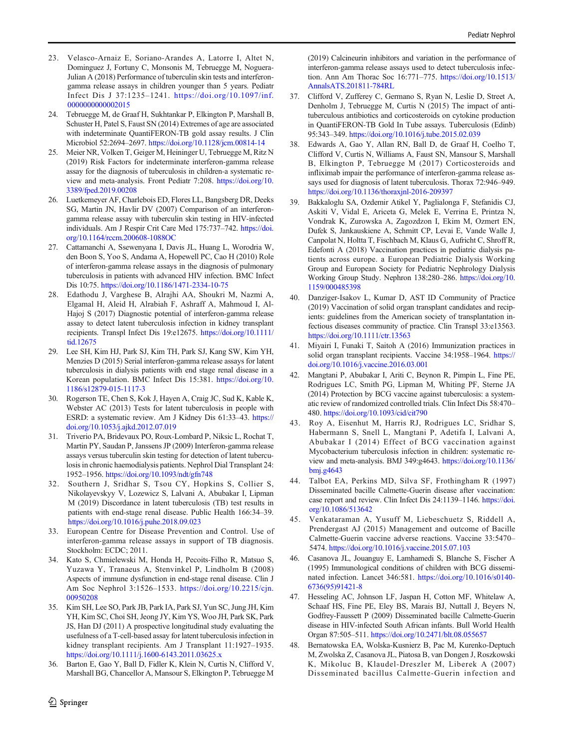- <span id="page-7-0"></span>23. Velasco-Arnaiz E, Soriano-Arandes A, Latorre I, Altet N, Dominguez J, Fortuny C, Monsonis M, Tebruegge M, Noguera-Julian A (2018) Performance of tuberculin skin tests and interferongamma release assays in children younger than 5 years. Pediatr Infect Dis J 37:1235–1241. [https://doi.org/10.1097/inf.](https://doi.org/10.1097/inf.0000000000002015) [0000000000002015](https://doi.org/10.1097/inf.0000000000002015)
- 24. Tebruegge M, de Graaf H, Sukhtankar P, Elkington P, Marshall B, Schuster H, Patel S, Faust SN (2014) Extremes of age are associated with indeterminate QuantiFERON-TB gold assay results. J Clin Microbiol 52:2694–2697. <https://doi.org/10.1128/jcm.00814-14>
- 25. Meier NR, Volken T, Geiger M, Heininger U, Tebruegge M, Ritz N (2019) Risk Factors for indeterminate interferon-gamma release assay for the diagnosis of tuberculosis in children-a systematic review and meta-analysis. Front Pediatr 7:208. [https://doi.org/10.](https://doi.org/10.3389/fped.2019.00208) [3389/fped.2019.00208](https://doi.org/10.3389/fped.2019.00208)
- 26. Luetkemeyer AF, Charlebois ED, Flores LL, Bangsberg DR, Deeks SG, Martin JN, Havlir DV (2007) Comparison of an interferongamma release assay with tuberculin skin testing in HIV-infected individuals. Am J Respir Crit Care Med 175:737–742. [https://doi.](https://doi.org/10.1164/rccm.200608-1088OC) [org/10.1164/rccm.200608-1088OC](https://doi.org/10.1164/rccm.200608-1088OC)
- 27. Cattamanchi A, Ssewenyana I, Davis JL, Huang L, Worodria W, den Boon S, Yoo S, Andama A, Hopewell PC, Cao H (2010) Role of interferon-gamma release assays in the diagnosis of pulmonary tuberculosis in patients with advanced HIV infection. BMC Infect Dis 10:75. <https://doi.org/10.1186/1471-2334-10-75>
- 28. Edathodu J, Varghese B, Alrajhi AA, Shoukri M, Nazmi A, Elgamal H, Aleid H, Alrabiah F, Ashraff A, Mahmoud I, Al-Hajoj S (2017) Diagnostic potential of interferon-gamma release assay to detect latent tuberculosis infection in kidney transplant recipients. Transpl Infect Dis 19:e12675. [https://doi.org/10.1111/](https://doi.org/10.1111/tid.12675) [tid.12675](https://doi.org/10.1111/tid.12675)
- 29. Lee SH, Kim HJ, Park SJ, Kim TH, Park SJ, Kang SW, Kim YH, Menzies D (2015) Serial interferon-gamma release assays for latent tuberculosis in dialysis patients with end stage renal disease in a Korean population. BMC Infect Dis 15:381. [https://doi.org/10.](https://doi.org/10.1186/s12879-015-1117-3) [1186/s12879-015-1117-3](https://doi.org/10.1186/s12879-015-1117-3)
- 30. Rogerson TE, Chen S, Kok J, Hayen A, Craig JC, Sud K, Kable K, Webster AC (2013) Tests for latent tuberculosis in people with ESRD: a systematic review. Am J Kidney Dis 61:33–43. [https://](https://doi.org/10.1053/j.ajkd.2012.07.019) [doi.org/10.1053/j.ajkd.2012.07.019](https://doi.org/10.1053/j.ajkd.2012.07.019)
- 31. Triverio PA, Bridevaux PO, Roux-Lombard P, Niksic L, Rochat T, Martin PY, Saudan P, Janssens JP (2009) Interferon-gamma release assays versus tuberculin skin testing for detection of latent tuberculosis in chronic haemodialysis patients. Nephrol Dial Transplant 24: 1952–1956. <https://doi.org/10.1093/ndt/gfn748>
- 32. Southern J, Sridhar S, Tsou CY, Hopkins S, Collier S, Nikolayevskyy V, Lozewicz S, Lalvani A, Abubakar I, Lipman M (2019) Discordance in latent tuberculosis (TB) test results in patients with end-stage renal disease. Public Health 166:34–39. <https://doi.org/10.1016/j.puhe.2018.09.023>
- 33. European Centre for Disease Prevention and Control. Use of interferon-gamma release assays in support of TB diagnosis. Stockholm: ECDC; 2011.
- 34. Kato S, Chmielewski M, Honda H, Pecoits-Filho R, Matsuo S, Yuzawa Y, Tranaeus A, Stenvinkel P, Lindholm B (2008) Aspects of immune dysfunction in end-stage renal disease. Clin J Am Soc Nephrol 3:1526–1533. [https://doi.org/10.2215/cjn.](https://doi.org/10.2215/cjn.00950208) [00950208](https://doi.org/10.2215/cjn.00950208)
- 35. Kim SH, Lee SO, Park JB, Park IA, Park SJ, Yun SC, Jung JH, Kim YH, Kim SC, Choi SH, Jeong JY, Kim YS, Woo JH, Park SK, Park JS, Han DJ (2011) A prospective longitudinal study evaluating the usefulness of a T-cell-based assay for latent tuberculosis infection in kidney transplant recipients. Am J Transplant 11:1927–1935. <https://doi.org/10.1111/j.1600-6143.2011.03625.x>
- 36. Barton E, Gao Y, Ball D, Fidler K, Klein N, Curtis N, Clifford V, Marshall BG, Chancellor A, Mansour S, Elkington P, Tebruegge M

*A* Springer

(2019) Calcineurin inhibitors and variation in the performance of interferon-gamma release assays used to detect tuberculosis infection. Ann Am Thorac Soc 16:771–775. [https://doi.org/10.1513/](https://doi.org/10.1513/AnnalsATS.201811-784RL) [AnnalsATS.201811-784RL](https://doi.org/10.1513/AnnalsATS.201811-784RL)

- 37. Clifford V, Zufferey C, Germano S, Ryan N, Leslie D, Street A, Denholm J, Tebruegge M, Curtis N (2015) The impact of antituberculous antibiotics and corticosteroids on cytokine production in QuantiFERON-TB Gold In Tube assays. Tuberculosis (Edinb) 95:343–349. <https://doi.org/10.1016/j.tube.2015.02.039>
- 38. Edwards A, Gao Y, Allan RN, Ball D, de Graaf H, Coelho T, Clifford V, Curtis N, Williams A, Faust SN, Mansour S, Marshall B, Elkington P, Tebruegge M (2017) Corticosteroids and infliximab impair the performance of interferon-gamma release assays used for diagnosis of latent tuberculosis. Thorax 72:946–949. <https://doi.org/10.1136/thoraxjnl-2016-209397>
- 39. Bakkaloglu SA, Ozdemir Atikel Y, Paglialonga F, Stefanidis CJ, Askiti V, Vidal E, Ariceta G, Melek E, Verrina E, Printza N, Vondrak K, Zurowska A, Zagozdzon I, Ekim M, Ozmert EN, Dufek S, Jankauskiene A, Schmitt CP, Levai E, Vande Walle J, Canpolat N, Holtta T, Fischbach M, Klaus G, Aufricht C, Shroff R, Edefonti A (2018) Vaccination practices in pediatric dialysis patients across europe. a European Pediatric Dialysis Working Group and European Society for Pediatric Nephrology Dialysis Working Group Study. Nephron 138:280–286. [https://doi.org/10.](https://doi.org/10.1159/000485398) [1159/000485398](https://doi.org/10.1159/000485398)
- 40. Danziger-Isakov L, Kumar D, AST ID Community of Practice (2019) Vaccination of solid organ transplant candidates and recipients: guidelines from the American society of transplantation infectious diseases community of practice. Clin Transpl 33:e13563. <https://doi.org/10.1111/ctr.13563>
- 41. Miyairi I, Funaki T, Saitoh A (2016) Immunization practices in solid organ transplant recipients. Vaccine 34:1958–1964. [https://](https://doi.org/10.1016/j.vaccine.2016.03.001) [doi.org/10.1016/j.vaccine.2016.03.001](https://doi.org/10.1016/j.vaccine.2016.03.001)
- 42. Mangtani P, Abubakar I, Ariti C, Beynon R, Pimpin L, Fine PE, Rodrigues LC, Smith PG, Lipman M, Whiting PF, Sterne JA (2014) Protection by BCG vaccine against tuberculosis: a systematic review of randomized controlled trials. Clin Infect Dis 58:470– 480. <https://doi.org/10.1093/cid/cit790>
- 43. Roy A, Eisenhut M, Harris RJ, Rodrigues LC, Sridhar S, Habermann S, Snell L, Mangtani P, Adetifa I, Lalvani A, Abubakar I (2014) Effect of BCG vaccination against Mycobacterium tuberculosis infection in children: systematic review and meta-analysis. BMJ 349:g4643. [https://doi.org/10.1136/](https://doi.org/10.1136/bmj.g4643) [bmj.g4643](https://doi.org/10.1136/bmj.g4643)
- 44. Talbot EA, Perkins MD, Silva SF, Frothingham R (1997) Disseminated bacille Calmette-Guerin disease after vaccination: case report and review. Clin Infect Dis 24:1139–1146. [https://doi.](https://doi.org/10.1086/513642) [org/10.1086/513642](https://doi.org/10.1086/513642)
- 45. Venkataraman A, Yusuff M, Liebeschuetz S, Riddell A, Prendergast AJ (2015) Management and outcome of Bacille Calmette-Guerin vaccine adverse reactions. Vaccine 33:5470– 5474. <https://doi.org/10.1016/j.vaccine.2015.07.103>
- 46. Casanova JL, Jouanguy E, Lamhamedi S, Blanche S, Fischer A (1995) Immunological conditions of children with BCG disseminated infection. Lancet 346:581. [https://doi.org/10.1016/s0140-](https://doi.org/10.1016/s0140-6736(95)91421-8) [6736\(95\)91421-8](https://doi.org/10.1016/s0140-6736(95)91421-8)
- 47. Hesseling AC, Johnson LF, Jaspan H, Cotton MF, Whitelaw A, Schaaf HS, Fine PE, Eley BS, Marais BJ, Nuttall J, Beyers N, Godfrey-Faussett P (2009) Disseminated bacille Calmette-Guerin disease in HIV-infected South African infants. Bull World Health Organ 87:505–511. <https://doi.org/10.2471/blt.08.055657>
- 48. Bernatowska EA, Wolska-Kusnierz B, Pac M, Kurenko-Deptuch M, Zwolska Z, Casanova JL, Piatosa B, van Dongen J, Roszkowski K, Mikoluc B, Klaudel-Dreszler M, Liberek A (2007) Disseminated bacillus Calmette-Guerin infection and